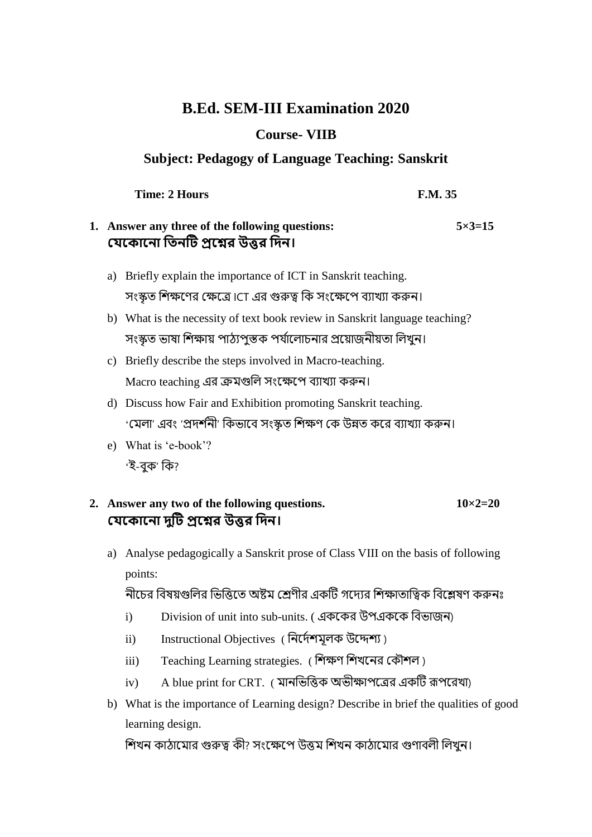# **B.Ed. SEM-III Examination 2020**

### **Course- VIIB**

#### **Subject: Pedagogy of Language Teaching: Sanskrit**

**Time: 2 Hours F.M. 35** 

## **1. Answer any three of the following questions: 5×3=15 যেক োক ো তি টি প্রকের উত্তর তি ।**

- a) Briefly explain the importance of ICT in Sanskrit teaching. সংস্কৃত শিক্ষণের ক্ষেত্রে ICT এর গুরুত্ব কি সংক্ষেপে ব্যাখ্যা করুন।
- b) What is the necessity of text book review in Sanskrit language teaching? সংস্কৃত ভাষা শিক্ষায় পাঠ্যপুস্তক পর্যালোচনার প্রয়োজনীয়তা লিখুন।
- c) Briefly describe the steps involved in Macro-teaching. Macro teaching এর ক্রমগুলি সংক্ষেপে ব্যাখ্যা করুন।
- d) Discuss how Fair and Exhibition promoting Sanskrit teaching. 'মেলা' এবং 'প্রদর্শনী' কিভাবে সংস্কৃত শিক্ষণ কে উন্নত করে ব্যাখ্যা করুন।
- e) What is 'e-book'? 'ই-বক' কি?

## **2.** Answer any two of the following questions.  $10 \times 2 = 20$ **যেক োক ো িটুি প্রকের উত্তর তি ।**

a) Analyse pedagogically a Sanskrit prose of Class VIII on the basis of following points:

নীচের বিষয়গুলির ভিত্তিতে অষ্টম শ্রেণীর একটি গদেরে শিক্ষাতাত্বিক বিশ্লেষণ করুনঃ

- i) Division of unit into sub-units. ( এককের উপএককে বিভাজন)
- ii) Instructional Objectives ( নির্দেশযুলক উদ্দেশ্য)
- iii) Teaching Learning strategies. ( শিক্ষণ শিখনের কৌশল)
- iv) A blue print for CRT. ( মানভিত্তিক অভীক্ষাপত্রের একটি রূপরেখা)
- b) What is the importance of Learning design? Describe in brief the qualities of good learning design.

শিখন কাঠামোর গুরুত্ব কী? সংক্ষেপে উত্তম শিখন কাঠামোর গুণাবলী লিখন।